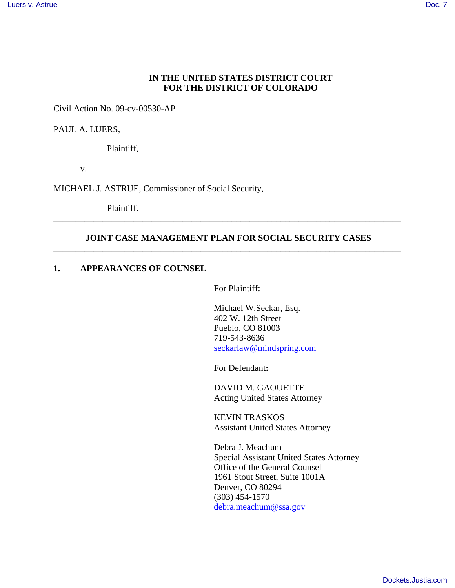### **IN THE UNITED STATES DISTRICT COURT FOR THE DISTRICT OF COLORADO**

Civil Action No. 09-cv-00530-AP

PAUL A. LUERS,

Plaintiff,

v.

MICHAEL J. ASTRUE, Commissioner of Social Security,

Plaintiff.

## **JOINT CASE MANAGEMENT PLAN FOR SOCIAL SECURITY CASES** \_\_\_\_\_\_\_\_\_\_\_\_\_\_\_\_\_\_\_\_\_\_\_\_\_\_\_\_\_\_\_\_\_\_\_\_\_\_\_\_\_\_\_\_\_\_\_\_\_\_\_\_\_\_\_\_\_\_\_\_\_\_\_\_\_\_\_\_\_\_\_\_\_\_\_\_\_\_

\_\_\_\_\_\_\_\_\_\_\_\_\_\_\_\_\_\_\_\_\_\_\_\_\_\_\_\_\_\_\_\_\_\_\_\_\_\_\_\_\_\_\_\_\_\_\_\_\_\_\_\_\_\_\_\_\_\_\_\_\_\_\_\_\_\_\_\_\_\_\_\_\_\_\_\_\_\_

### **1. APPEARANCES OF COUNSEL**

For Plaintiff:

 Michael W.Seckar, Esq. 402 W. 12th Street Pueblo, CO 81003 719-543-8636 seckarlaw@mindspring.com

For Defendant**:**

DAVID M. GAOUETTE Acting United States Attorney

KEVIN TRASKOS Assistant United States Attorney

Debra J. Meachum Special Assistant United States Attorney Office of the General Counsel 1961 Stout Street, Suite 1001A Denver, CO 80294 (303) 454-1570 debra.meachum@ssa.gov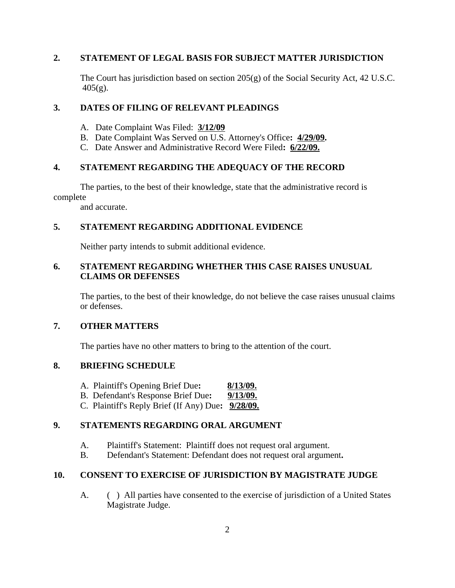## **2. STATEMENT OF LEGAL BASIS FOR SUBJECT MATTER JURISDICTION**

The Court has jurisdiction based on section  $205(g)$  of the Social Security Act, 42 U.S.C.  $405(g)$ .

### **3. DATES OF FILING OF RELEVANT PLEADINGS**

- A. Date Complaint Was Filed: **3/12/09**
- B. Date Complaint Was Served on U.S. Attorney's Office**: 4/29/09.**
- C. Date Answer and Administrative Record Were Filed**: 6/22/09.**

#### **4. STATEMENT REGARDING THE ADEQUACY OF THE RECORD**

The parties, to the best of their knowledge, state that the administrative record is complete

and accurate.

## **5. STATEMENT REGARDING ADDITIONAL EVIDENCE**

Neither party intends to submit additional evidence.

# **6. STATEMENT REGARDING WHETHER THIS CASE RAISES UNUSUAL CLAIMS OR DEFENSES**

The parties, to the best of their knowledge, do not believe the case raises unusual claims or defenses.

#### **7. OTHER MATTERS**

The parties have no other matters to bring to the attention of the court.

### **8. BRIEFING SCHEDULE**

- A. Plaintiff's Opening Brief Due**: 8/13/09.**
- B. Defendant's Response Brief Due**: 9/13/09.**
- C. Plaintiff's Reply Brief (If Any) Due**: 9/28/09.**

## **9. STATEMENTS REGARDING ORAL ARGUMENT**

- A. Plaintiff's Statement: Plaintiff does not request oral argument.
- B. Defendant's Statement: Defendant does not request oral argument**.**

## **10. CONSENT TO EXERCISE OF JURISDICTION BY MAGISTRATE JUDGE**

A. ( ) All parties have consented to the exercise of jurisdiction of a United States Magistrate Judge.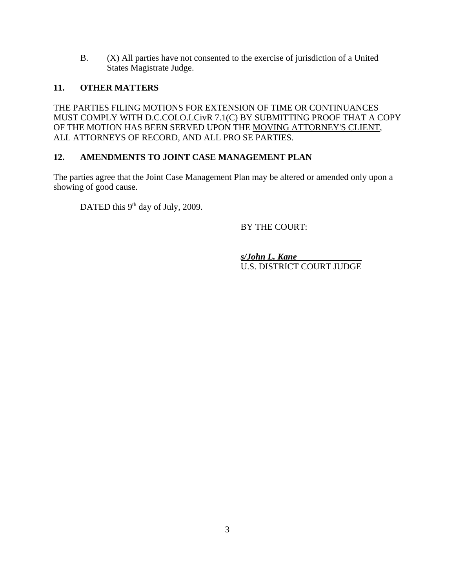B. (X) All parties have not consented to the exercise of jurisdiction of a United States Magistrate Judge.

# **11. OTHER MATTERS**

THE PARTIES FILING MOTIONS FOR EXTENSION OF TIME OR CONTINUANCES MUST COMPLY WITH D.C.COLO.LCivR 7.1(C) BY SUBMITTING PROOF THAT A COPY OF THE MOTION HAS BEEN SERVED UPON THE MOVING ATTORNEY'S CLIENT, ALL ATTORNEYS OF RECORD, AND ALL PRO SE PARTIES.

# **12. AMENDMENTS TO JOINT CASE MANAGEMENT PLAN**

The parties agree that the Joint Case Management Plan may be altered or amended only upon a showing of good cause.

DATED this  $9<sup>th</sup>$  day of July, 2009.

BY THE COURT:

*s/John L. Kane*  U.S. DISTRICT COURT JUDGE